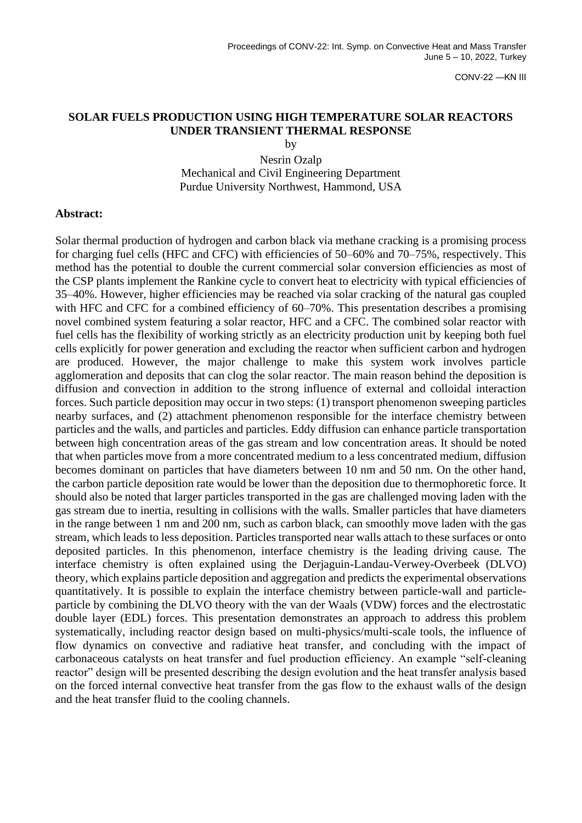CONV-22 ―KN III

## **SOLAR FUELS PRODUCTION USING HIGH TEMPERATURE SOLAR REACTORS UNDER TRANSIENT THERMAL RESPONSE**

by

Nesrin Ozalp Mechanical and Civil Engineering Department Purdue University Northwest, Hammond, USA

## **Abstract:**

Solar thermal production of hydrogen and carbon black via methane cracking is a promising process for charging fuel cells (HFC and CFC) with efficiencies of 50–60% and 70–75%, respectively. This method has the potential to double the current commercial solar conversion efficiencies as most of the CSP plants implement the Rankine cycle to convert heat to electricity with typical efficiencies of 35–40%. However, higher efficiencies may be reached via solar cracking of the natural gas coupled with HFC and CFC for a combined efficiency of 60–70%. This presentation describes a promising novel combined system featuring a solar reactor, HFC and a CFC. The combined solar reactor with fuel cells has the flexibility of working strictly as an electricity production unit by keeping both fuel cells explicitly for power generation and excluding the reactor when sufficient carbon and hydrogen are produced. However, the major challenge to make this system work involves particle agglomeration and deposits that can clog the solar reactor. The main reason behind the deposition is diffusion and convection in addition to the strong influence of external and colloidal interaction forces. Such particle deposition may occur in two steps: (1) transport phenomenon sweeping particles nearby surfaces, and (2) attachment phenomenon responsible for the interface chemistry between particles and the walls, and particles and particles. Eddy diffusion can enhance particle transportation between high concentration areas of the gas stream and low concentration areas. It should be noted that when particles move from a more concentrated medium to a less concentrated medium, diffusion becomes dominant on particles that have diameters between 10 nm and 50 nm. On the other hand, the carbon particle deposition rate would be lower than the deposition due to thermophoretic force. It should also be noted that larger particles transported in the gas are challenged moving laden with the gas stream due to inertia, resulting in collisions with the walls. Smaller particles that have diameters in the range between 1 nm and 200 nm, such as carbon black, can smoothly move laden with the gas stream, which leads to less deposition. Particles transported near walls attach to these surfaces or onto deposited particles. In this phenomenon, interface chemistry is the leading driving cause. The interface chemistry is often explained using the Derjaguin-Landau-Verwey-Overbeek (DLVO) theory, which explains particle deposition and aggregation and predicts the experimental observations quantitatively. It is possible to explain the interface chemistry between particle-wall and particleparticle by combining the DLVO theory with the van der Waals (VDW) forces and the electrostatic double layer (EDL) forces. This presentation demonstrates an approach to address this problem systematically, including reactor design based on multi-physics/multi-scale tools, the influence of flow dynamics on convective and radiative heat transfer, and concluding with the impact of carbonaceous catalysts on heat transfer and fuel production efficiency. An example "self-cleaning reactor" design will be presented describing the design evolution and the heat transfer analysis based on the forced internal convective heat transfer from the gas flow to the exhaust walls of the design and the heat transfer fluid to the cooling channels.